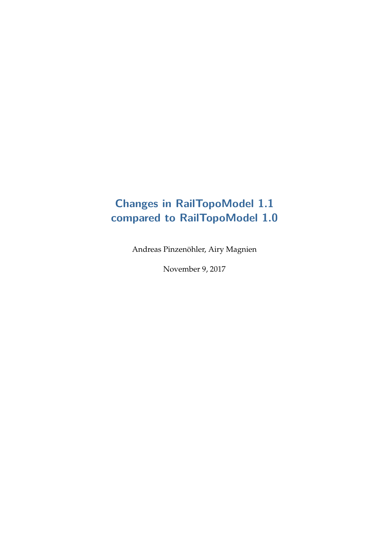# **Changes in RailTopoModel 1.1 compared to RailTopoModel 1.0**

Andreas Pinzenöhler, Airy Magnien

November 9, 2017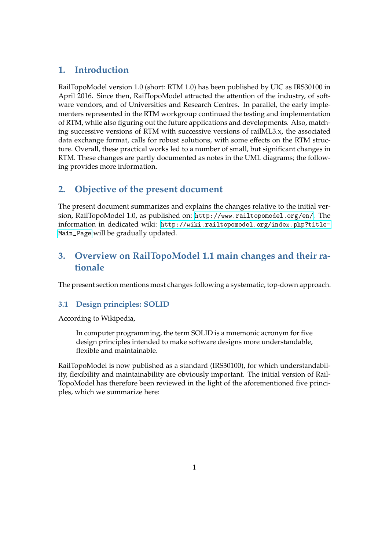## **1. Introduction**

RailTopoModel version 1.0 (short: RTM 1.0) has been published by UIC as IRS30100 in April 2016. Since then, RailTopoModel attracted the attention of the industry, of software vendors, and of Universities and Research Centres. In parallel, the early implementers represented in the RTM workgroup continued the testing and implementation of RTM, while also figuring out the future applications and developments. Also, matching successive versions of RTM with successive versions of railML3.x, the associated data exchange format, calls for robust solutions, with some effects on the RTM structure. Overall, these practical works led to a number of small, but significant changes in RTM. These changes are partly documented as notes in the UML diagrams; the following provides more information.

# **2. Objective of the present document**

The present document summarizes and explains the changes relative to the initial version, RailTopoModel 1.0, as published on: <http://www.railtopomodel.org/en/>. The information in dedicated wiki: [http://wiki.railtopomodel.org/index.php?title=](http://wiki.railtopomodel.org/index.php?title=Main_Page) [Main\\_Page](http://wiki.railtopomodel.org/index.php?title=Main_Page) will be gradually updated.

# **3. Overview on RailTopoModel 1.1 main changes and their rationale**

The present section mentions most changes following a systematic, top-down approach.

### **3.1 Design principles: SOLID**

According to Wikipedia,

In computer programming, the term SOLID is a mnemonic acronym for five design principles intended to make software designs more understandable, flexible and maintainable.

RailTopoModel is now published as a standard (IRS30100), for which understandability, flexibility and maintainability are obviously important. The initial version of Rail-TopoModel has therefore been reviewed in the light of the aforementioned five principles, which we summarize here: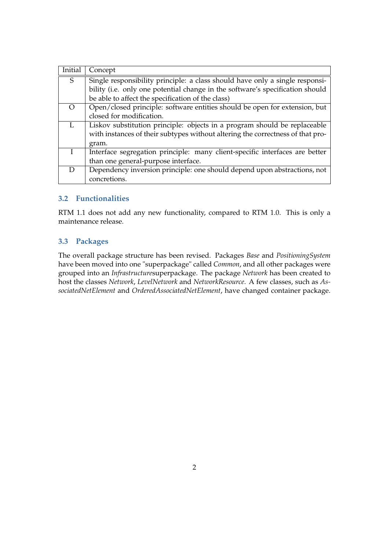| Initial          | Concept                                                                        |
|------------------|--------------------------------------------------------------------------------|
| S                | Single responsibility principle: a class should have only a single responsi-   |
|                  | bility (i.e. only one potential change in the software's specification should  |
|                  | be able to affect the specification of the class)                              |
| $\left( \right)$ | Open/closed principle: software entities should be open for extension, but     |
|                  | closed for modification.                                                       |
|                  | Liskov substitution principle: objects in a program should be replaceable      |
|                  | with instances of their subtypes without altering the correctness of that pro- |
|                  | gram.                                                                          |
|                  | Interface segregation principle: many client-specific interfaces are better    |
|                  | than one general-purpose interface.                                            |
| D                | Dependency inversion principle: one should depend upon abstractions, not       |
|                  | concretions.                                                                   |

### **3.2 Functionalities**

RTM 1.1 does not add any new functionality, compared to RTM 1.0. This is only a maintenance release.

#### **3.3 Packages**

The overall package structure has been revised. Packages *Base* and *PositioningSystem* have been moved into one "superpackage" called *Common*, and all other packages were grouped into an *Infrastructure*superpackage. The package *Network* has been created to host the classes *Network*, *LevelNetwork* and *NetworkResource*. A few classes, such as *AssociatedNetElement* and *OrderedAssociatedNetElement*, have changed container package.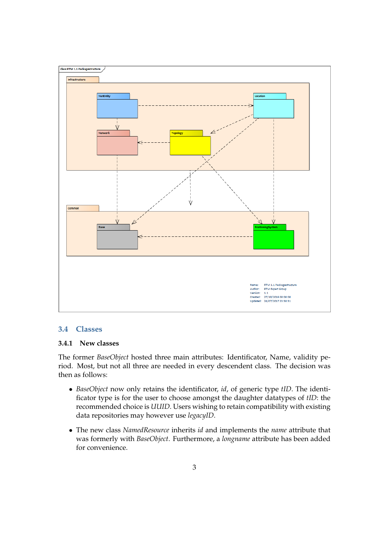

#### **3.4 Classes**

#### **3.4.1 New classes**

The former *BaseObject* hosted three main attributes: Identificator, Name, validity period. Most, but not all three are needed in every descendent class. The decision was then as follows:

- *BaseObject* now only retains the identificator, *id*, of generic type *tID*. The identificator type is for the user to choose amongst the daughter datatypes of *tID*: the recommended choice is *UUID*. Users wishing to retain compatibility with existing data repositories may however use *legacyID*.
- The new class *NamedResource* inherits *id* and implements the *name* attribute that was formerly with *BaseObject*. Furthermore, a *longname* attribute has been added for convenience.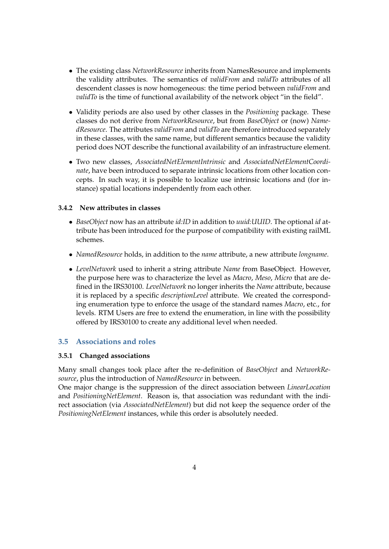- The existing class *NetworkResource* inherits from NamesResource and implements the validity attributes. The semantics of *validFrom* and *validTo* attributes of all descendent classes is now homogeneous: the time period between *validFrom* and *validTo* is the time of functional availability of the network object "in the field".
- Validity periods are also used by other classes in the *Positioning* package. These classes do not derive from *NetworkResource*, but from *BaseObject* or (now) *NamedResource*. The attributes *validFrom* and *validTo* are therefore introduced separately in these classes, with the same name, but different semantics because the validity period does NOT describe the functional availability of an infrastructure element.
- Two new classes, *AssociatedNetElementIntrinsic* and *AssociatedNetElementCoordinate*, have been introduced to separate intrinsic locations from other location concepts. In such way, it is possible to localize use intrinsic locations and (for instance) spatial locations independently from each other.

#### **3.4.2 New attributes in classes**

- *BaseObject* now has an attribute *id:ID* in addition to *uuid:UUID*. The optional *id* attribute has been introduced for the purpose of compatibility with existing railML schemes.
- *NamedResource* holds, in addition to the *name* attribute, a new attribute *longname*.
- *LevelNetwork* used to inherit a string attribute *Name* from BaseObject. However, the purpose here was to characterize the level as *Macro*, *Meso*, *Micro* that are defined in the IRS30100. *LevelNetwork* no longer inherits the *Name* attribute, because it is replaced by a specific *descriptionLevel* attribute. We created the corresponding enumeration type to enforce the usage of the standard names *Macro*, etc., for levels. RTM Users are free to extend the enumeration, in line with the possibility offered by IRS30100 to create any additional level when needed.

#### **3.5 Associations and roles**

#### **3.5.1 Changed associations**

Many small changes took place after the re-definition of *BaseObject* and *NetworkResource*, plus the introduction of *NamedResource* in between.

One major change is the suppression of the direct association between *LinearLocation* and *PositioningNetElement*. Reason is, that association was redundant with the indirect association (via *AssociatedNetElement*) but did not keep the sequence order of the *PositioningNetElement* instances, while this order is absolutely needed.